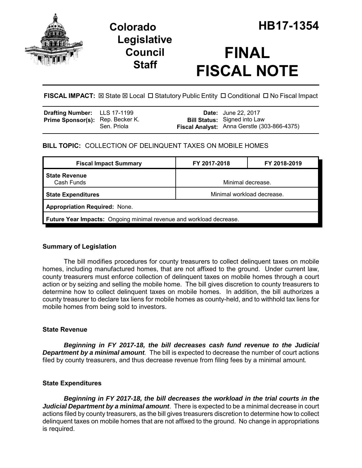

## **Legislative Council Staff**

# **FINAL FISCAL NOTE**

**FISCAL IMPACT:**  $\boxtimes$  **State**  $\boxtimes$  **Local □ Statutory Public Entity □ Conditional □ No Fiscal Impact** 

| <b>Drafting Number:</b> LLS 17-1199     |             | <b>Date:</b> June 22, 2017                                                         |
|-----------------------------------------|-------------|------------------------------------------------------------------------------------|
| <b>Prime Sponsor(s):</b> Rep. Becker K. | Sen. Priola | <b>Bill Status:</b> Signed into Law<br>Fiscal Analyst: Anna Gerstle (303-866-4375) |

## **BILL TOPIC:** COLLECTION OF DELINQUENT TAXES ON MOBILE HOMES

| <b>Fiscal Impact Summary</b>                                        | FY 2017-2018               | FY 2018-2019 |  |  |
|---------------------------------------------------------------------|----------------------------|--------------|--|--|
| <b>State Revenue</b><br>Cash Funds                                  | Minimal decrease.          |              |  |  |
| <b>State Expenditures</b>                                           | Minimal workload decrease. |              |  |  |
| <b>Appropriation Required: None.</b>                                |                            |              |  |  |
| Future Year Impacts: Ongoing minimal revenue and workload decrease. |                            |              |  |  |

## **Summary of Legislation**

The bill modifies procedures for county treasurers to collect delinquent taxes on mobile homes, including manufactured homes, that are not affixed to the ground. Under current law, county treasurers must enforce collection of delinquent taxes on mobile homes through a court action or by seizing and selling the mobile home. The bill gives discretion to county treasurers to determine how to collect delinquent taxes on mobile homes. In addition, the bill authorizes a county treasurer to declare tax liens for mobile homes as county-held, and to withhold tax liens for mobile homes from being sold to investors.

## **State Revenue**

*Beginning in FY 2017-18, the bill decreases cash fund revenue to the Judicial* **Department by a minimal amount**. The bill is expected to decrease the number of court actions filed by county treasurers, and thus decrease revenue from filing fees by a minimal amount*.* 

#### **State Expenditures**

*Beginning in FY 2017-18, the bill decreases the workload in the trial courts in the Judicial Department by a minimal amount*. There is expected to be a minimal decrease in court actions filed by county treasurers, as the bill gives treasurers discretion to determine how to collect delinquent taxes on mobile homes that are not affixed to the ground. No change in appropriations is required.